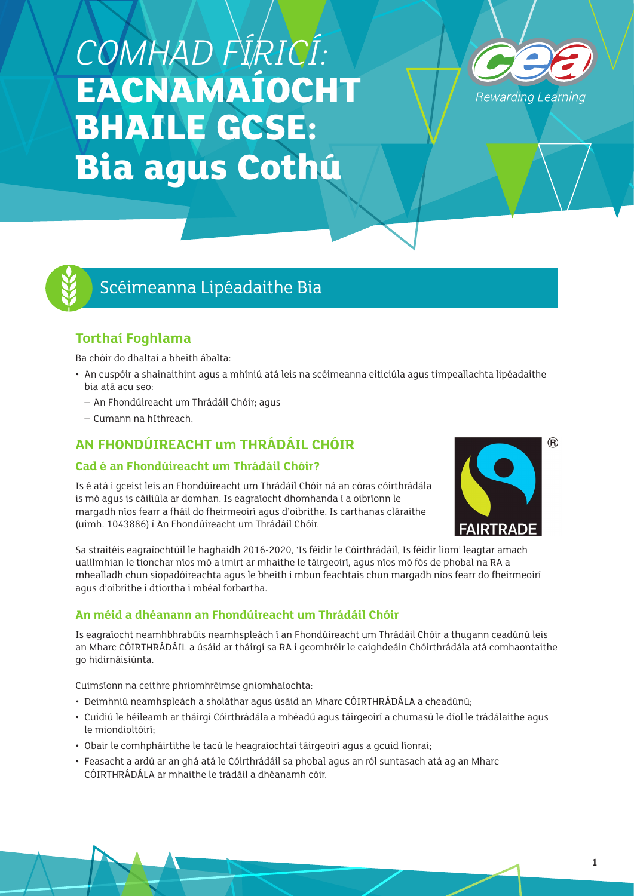# *COMHAD FÍRICÍ:*  **EACNAMAÍOCHT BHAILE GCSE: Bia agus Cothú**





## Scéimeanna Lipéadaithe Bia

## **Torthaí Foghlama**

Ba chóir do dhaltaí a bheith ábalta:

- An cuspóir a shainaithint agus a mhíniú atá leis na scéimeanna eiticiúla agus timpeallachta lipéadaithe bia atá acu seo:
	- An Fhondúireacht um Thrádáil Chóir; agus
	- Cumann na hIthreach.

## **AN FHONDÚIREACHT um THRÁDÁIL CHÓIR**

#### **Cad é an Fhondúireacht um Thrádáil Chóir?**

Is é atá i gceist leis an Fhondúireacht um Thrádáil Chóir ná an córas cóirthrádála is mó agus is cáiliúla ar domhan. Is eagraíocht dhomhanda í a oibríonn le margadh níos fearr a fháil do fheirmeoirí agus d'oibrithe. Is carthanas cláraithe (uimh. 1043886) í An Fhondúireacht um Thrádáil Chóir.



Sa straitéis eagraíochtúil le haghaidh 2016-2020, 'Is féidir le Cóirthrádáil, Is féidir liom' leagtar amach uaillmhian le tionchar níos mó a imirt ar mhaithe le táirgeoirí, agus níos mó fós de phobal na RA a mhealladh chun siopadóireachta agus le bheith i mbun feachtais chun margadh níos fearr do fheirmeoirí agus d'oibrithe i dtíortha i mbéal forbartha.

#### **An méid a dhéanann an Fhondúireacht um Thrádáil Chóir**

Is eagraíocht neamhbhrabúis neamhspleách í an Fhondúireacht um Thrádáil Chóir a thugann ceadúnú leis an Mharc CÓIRTHRÁDÁIL a úsáid ar tháirgí sa RA i gcomhréir le caighdeáin Chóirthrádála atá comhaontaithe go hidirnáisiúnta.

Cuimsíonn na ceithre phríomhréimse gníomhaíochta:

- Deimhniú neamhspleách a sholáthar agus úsáid an Mharc CÓIRTHRÁDÁLA a cheadúnú;
- Cuidiú le héileamh ar tháirgí Cóirthrádála a mhéadú agus táirgeoirí a chumasú le díol le trádálaithe agus le miondíoltóirí;
- Obair le comhpháirtithe le tacú le heagraíochtaí táirgeoirí agus a gcuid líonraí;
- Feasacht a ardú ar an ghá atá le Cóirthrádáil sa phobal agus an ról suntasach atá ag an Mharc CÓIRTHRÁDÁLA ar mhaithe le trádáil a dhéanamh cóir.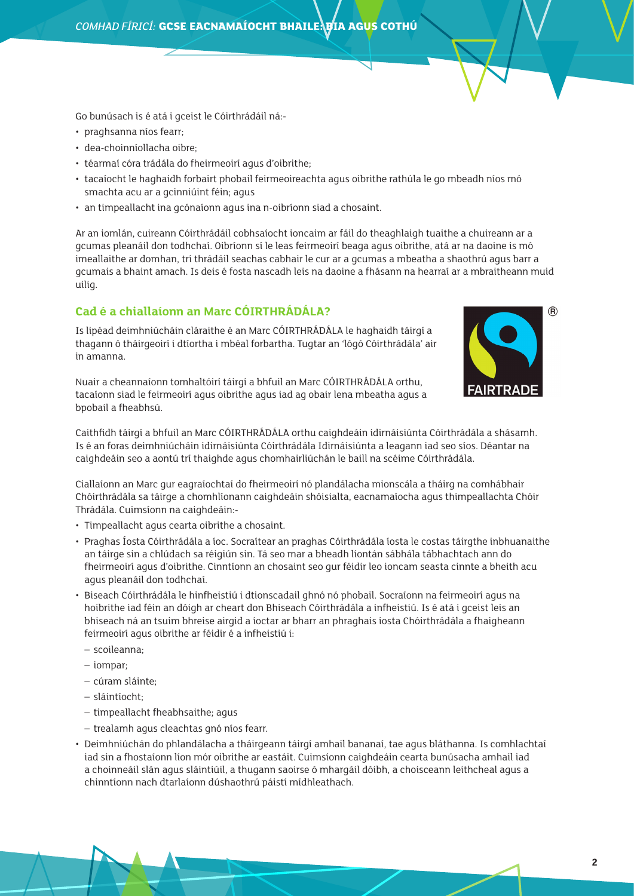Go bunúsach is é atá i gceist le Cóirthrádáil ná:-

- praghsanna níos fearr;
- dea-choinníollacha oibre;
- téarmaí córa trádála do fheirmeoirí agus d'oibrithe;
- tacaíocht le haghaidh forbairt phobail feirmeoireachta agus oibrithe rathúla le go mbeadh níos mó smachta acu ar a gcinniúint féin; agus
- an timpeallacht ina gcónaíonn agus ina n-oibríonn siad a chosaint.

Ar an iomlán, cuireann Cóirthrádáil cobhsaíocht ioncaim ar fáil do theaghlaigh tuaithe a chuireann ar a gcumas pleanáil don todhchaí. Oibríonn sí le leas feirmeoirí beaga agus oibrithe, atá ar na daoine is mó imeallaithe ar domhan, trí thrádáil seachas cabhair le cur ar a gcumas a mbeatha a shaothrú agus barr a gcumais a bhaint amach. Is deis é fosta nascadh leis na daoine a fhásann na hearraí ar a mbraitheann muid uilig.

#### **Cad é a chiallaíonn an Marc CÓIRTHRÁDÁLA?**

Is lipéad deimhniúcháin cláraithe é an Marc CÓIRTHRÁDÁLA le haghaidh táirgí a thagann ó tháirgeoirí i dtíortha i mbéal forbartha. Tugtar an 'lógó Cóirthrádála' air in amanna.

Nuair a cheannaíonn tomhaltóirí táirgí a bhfuil an Marc CÓIRTHRÁDÁLA orthu, tacaíonn siad le feirmeoirí agus oibrithe agus iad ag obair lena mbeatha agus a bpobail a fheabhsú.



Caithfidh táirgí a bhfuil an Marc CÓIRTHRÁDÁLA orthu caighdeáin idirnáisiúnta Cóirthrádála a shásamh. Is é an foras deimhniúcháin idirnáisiúnta Cóirthrádála Idirnáisiúnta a leagann iad seo síos. Déantar na caighdeáin seo a aontú trí thaighde agus chomhairliúchán le baill na scéime Cóirthrádála.

Ciallaíonn an Marc gur eagraíochtaí do fheirmeoirí nó plandálacha mionscála a tháirg na comhábhair Chóirthrádála sa táirge a chomhlíonann caighdeáin shóisialta, eacnamaíocha agus thimpeallachta Chóir Thrádála. Cuimsíonn na caighdeáin:-

- Timpeallacht agus cearta oibrithe a chosaint.
- Praghas Íosta Cóirthrádála a íoc. Socraítear an praghas Cóirthrádála íosta le costas táirgthe inbhuanaithe an táirge sin a chlúdach sa réigiún sin. Tá seo mar a bheadh líontán sábhála tábhachtach ann do fheirmeoirí agus d'oibrithe. Cinntíonn an chosaint seo gur féidir leo ioncam seasta cinnte a bheith acu agus pleanáil don todhchaí.
- Biseach Cóirthrádála le hinfheistiú i dtionscadail ghnó nó phobail. Socraíonn na feirmeoirí agus na hoibrithe iad féin an dóigh ar cheart don Bhiseach Cóirthrádála a infheistiú. Is é atá i gceist leis an bhiseach ná an tsuim bhreise airgid a íoctar ar bharr an phraghais íosta Chóirthrádála a fhaigheann feirmeoirí agus oibrithe ar féidir é a infheistiú i:
	- scoileanna;
	- iompar;
	- cúram sláinte;
	- sláintíocht;
	- timpeallacht fheabhsaithe; agus
	- trealamh agus cleachtas gnó níos fearr.
- Deimhniúchán do phlandálacha a tháirgeann táirgí amhail bananaí, tae agus bláthanna. Is comhlachtaí iad sin a fhostaíonn líon mór oibrithe ar eastáit. Cuimsíonn caighdeáin cearta bunúsacha amhail iad a choinneáil slán agus sláintiúil, a thugann saoirse ó mhargáil dóibh, a choisceann leithcheal agus a chinntíonn nach dtarlaíonn dúshaothrú páistí mídhleathach.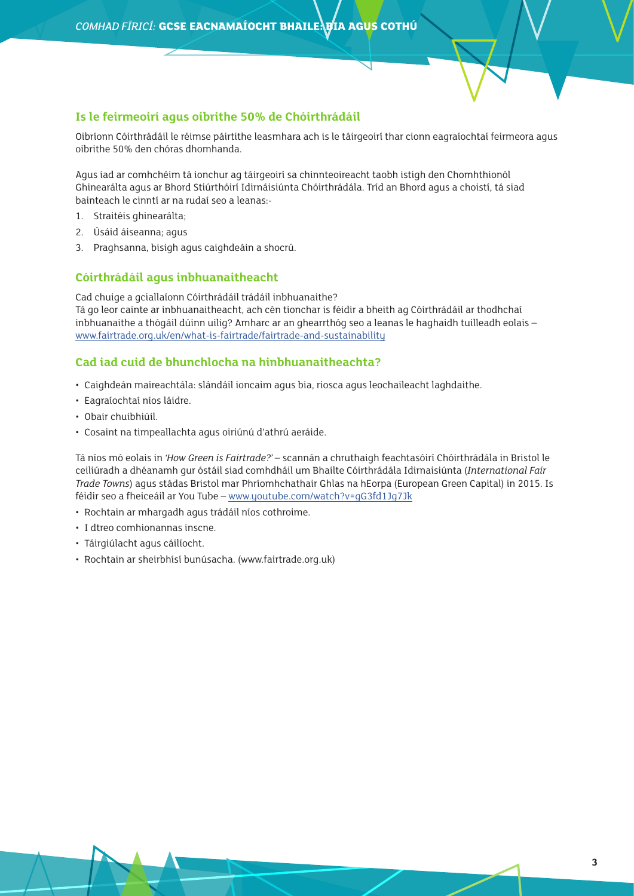#### **Is le feirmeoirí agus oibrithe 50% de Chóirthrádáil**

Oibríonn Cóirthrádáil le réimse páirtithe leasmhara ach is le táirgeoirí thar cionn eagraíochtaí feirmeora agus oibrithe 50% den chóras dhomhanda.

Agus iad ar comhchéim tá ionchur ag táirgeoirí sa chinnteoireacht taobh istigh den Chomhthionól Ghinearálta agus ar Bhord Stiúrthóirí Idirnáisiúnta Chóirthrádála. Tríd an Bhord agus a choistí, tá siad bainteach le cinntí ar na rudaí seo a leanas:-

- 1. Straitéis ghinearálta;
- 2. Úsáid áiseanna; agus
- 3. Praghsanna, bisigh agus caighdeáin a shocrú.

#### **Cóirthrádáil agus inbhuanaitheacht**

Cad chuige a gciallaíonn Cóirthrádáil trádáil inbhuanaithe? Tá go leor cainte ar inbhuanaitheacht, ach cén tionchar is féidir a bheith ag Cóirthrádáil ar thodhchaí inbhuanaithe a thógáil dúinn uilig? Amharc ar an ghearrthóg seo a leanas le haghaidh tuilleadh eolais – [www.fairtrade.org.uk/en/what-is-fairtrade/fairtrade-and-sustainability](http://www.fairtrade.org.uk/en/what-is-fairtrade/fairtrade-and-sustainability)

#### **Cad iad cuid de bhunchlocha na hinbhuanaitheachta?**

- Caighdeán maireachtála: slándáil ioncaim agus bia, riosca agus leochaileacht laghdaithe.
- Eagraíochtaí níos láidre.
- Obair chuibhiúil.
- Cosaint na timpeallachta agus oiriúnú d'athrú aeráide.

Tá níos mó eolais in *'How Green is Fairtrade?'* – scannán a chruthaigh feachtasóirí Chóirthrádála in Bristol le ceiliúradh a dhéanamh gur óstáil siad comhdháil um Bhailte Cóirthrádála Idirnaisiúnta (*International Fair Trade Towns*) agus stádas Bristol mar Phríomhchathair Ghlas na hEorpa (European Green Capital) in 2015. Is féidir seo a fheiceáil ar You Tube – [www.youtube.com/watch?v=gG3fd1Jg7Jk](http://www.youtube.com/watch?v=gG3fd1Jg7Jk)

- Rochtain ar mhargadh agus trádáil níos cothroime.
- I dtreo comhionannas inscne.
- Táirgiúlacht agus cáilíocht.
- Rochtain ar sheirbhísí bunúsacha. (www.fairtrade.org.uk)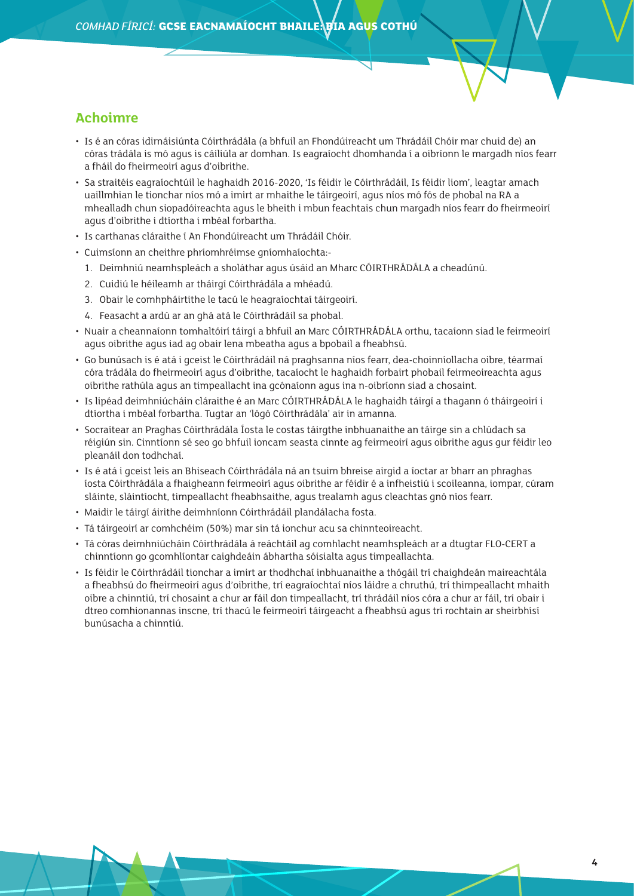### **Achoimre**

- Is é an córas idirnáisiúnta Cóirthrádála (a bhfuil an Fhondúireacht um Thrádáil Chóir mar chuid de) an córas trádála is mó agus is cáiliúla ar domhan. Is eagraíocht dhomhanda í a oibríonn le margadh níos fearr a fháil do fheirmeoirí agus d'oibrithe.
- Sa straitéis eagraíochtúil le haghaidh 2016-2020, 'Is féidir le Cóirthrádáil, Is féidir liom', leagtar amach uaillmhian le tionchar níos mó a imirt ar mhaithe le táirgeoirí, agus níos mó fós de phobal na RA a mhealladh chun siopadóireachta agus le bheith i mbun feachtais chun margadh níos fearr do fheirmeoirí agus d'oibrithe i dtíortha i mbéal forbartha.
- Is carthanas cláraithe í An Fhondúireacht um Thrádáil Chóir.
- Cuimsíonn an cheithre phríomhréimse gníomhaíochta:-
	- 1. Deimhniú neamhspleách a sholáthar agus úsáid an Mharc CÓIRTHRÁDÁLA a cheadúnú.
	- 2. Cuidiú le héileamh ar tháirgí Cóirthrádála a mhéadú.
	- 3. Obair le comhpháirtithe le tacú le heagraíochtaí táirgeoirí.
	- 4. Feasacht a ardú ar an ghá atá le Cóirthrádáil sa phobal.
- Nuair a cheannaíonn tomhaltóirí táirgí a bhfuil an Marc CÓIRTHRÁDÁLA orthu, tacaíonn siad le feirmeoirí agus oibrithe agus iad ag obair lena mbeatha agus a bpobail a fheabhsú.
- Go bunúsach is é atá i gceist le Cóirthrádáil ná praghsanna níos fearr, dea-choinníollacha oibre, téarmaí córa trádála do fheirmeoirí agus d'oibrithe, tacaíocht le haghaidh forbairt phobail feirmeoireachta agus oibrithe rathúla agus an timpeallacht ina gcónaíonn agus ina n-oibríonn siad a chosaint.
- Is lipéad deimhniúcháin cláraithe é an Marc CÓIRTHRÁDÁLA le haghaidh táirgí a thagann ó tháirgeoirí i dtíortha i mbéal forbartha. Tugtar an 'lógó Cóirthrádála' air in amanna.
- Socraítear an Praghas Cóirthrádála Íosta le costas táirgthe inbhuanaithe an táirge sin a chlúdach sa réigiún sin. Cinntíonn sé seo go bhfuil ioncam seasta cinnte ag feirmeoirí agus oibrithe agus gur féidir leo pleanáil don todhchaí.
- Is é atá i gceist leis an Bhiseach Cóirthrádála ná an tsuim bhreise airgid a íoctar ar bharr an phraghas íosta Cóirthrádála a fhaigheann feirmeoirí agus oibrithe ar féidir é a infheistiú i scoileanna, iompar, cúram sláinte, sláintíocht, timpeallacht fheabhsaithe, agus trealamh agus cleachtas gnó níos fearr.
- Maidir le táirgí áirithe deimhníonn Cóirthrádáil plandálacha fosta.
- Tá táirgeoirí ar comhchéim (50%) mar sin tá ionchur acu sa chinnteoireacht.
- Tá córas deimhniúcháin Cóirthrádála á reáchtáil ag comhlacht neamhspleách ar a dtugtar FLO-CERT a chinntíonn go gcomhlíontar caighdeáin ábhartha sóisialta agus timpeallachta.
- Is féidir le Cóirthrádáil tionchar a imirt ar thodhchaí inbhuanaithe a thógáil trí chaighdeán maireachtála a fheabhsú do fheirmeoirí agus d'oibrithe, trí eagraíochtaí níos láidre a chruthú, trí thimpeallacht mhaith oibre a chinntiú, trí chosaint a chur ar fáil don timpeallacht, trí thrádáil níos córa a chur ar fáil, trí obair i dtreo comhionannas inscne, trí thacú le feirmeoirí táirgeacht a fheabhsú agus trí rochtain ar sheirbhísí bunúsacha a chinntiú.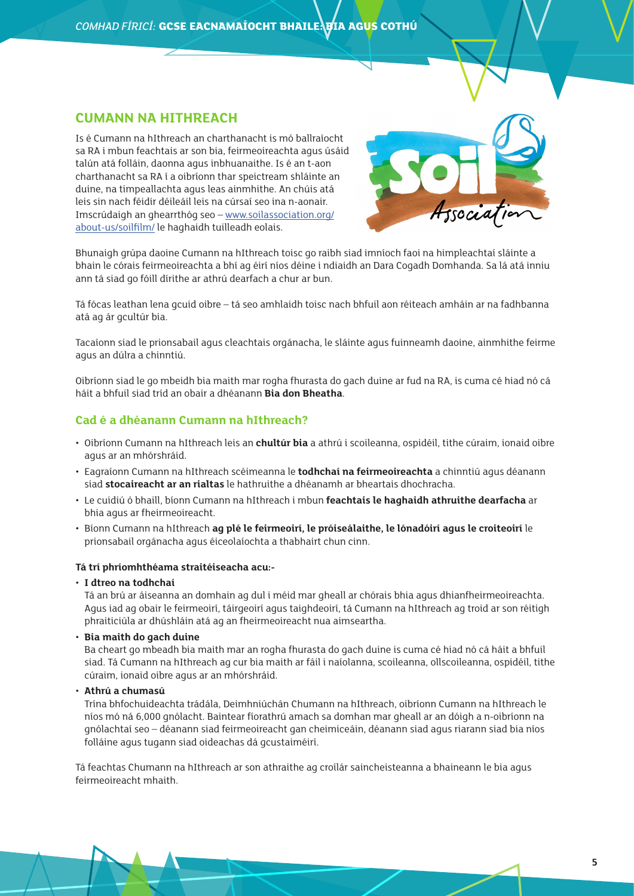#### **CUMANN NA HITHREACH**

Is é Cumann na hIthreach an charthanacht is mó ballraíocht sa RA i mbun feachtais ar son bia, feirmeoireachta agus úsáid talún atá folláin, daonna agus inbhuanaithe. Is é an t-aon charthanacht sa RA í a oibríonn thar speictream shláinte an duine, na timpeallachta agus leas ainmhithe. An chúis atá leis sin nach féidir déileáil leis na cúrsaí seo ina n-aonair. Imscrúdaigh an ghearrthóg seo – [www.soilassociation.org/](http://www.soilassociation.org/about-us/soilfilm/) [about-us/soilfilm/](http://www.soilassociation.org/about-us/soilfilm/) le haghaidh tuilleadh eolais.



Bhunaigh grúpa daoine Cumann na hIthreach toisc go raibh siad imníoch faoi na himpleachtaí sláinte a bhain le córais feirmeoireachta a bhí ag éirí níos déine i ndiaidh an Dara Cogadh Domhanda. Sa lá atá inniu ann tá siad go fóill dírithe ar athrú dearfach a chur ar bun.

Tá fócas leathan lena gcuid oibre – tá seo amhlaidh toisc nach bhfuil aon réiteach amháin ar na fadhbanna atá ag ár gcultúr bia.

Tacaíonn siad le prionsabail agus cleachtais orgánacha, le sláinte agus fuinneamh daoine, ainmhithe feirme agus an dúlra a chinntiú.

Oibríonn siad le go mbeidh bia maith mar rogha fhurasta do gach duine ar fud na RA, is cuma cé hiad nó cá háit a bhfuil siad tríd an obair a dhéanann **Bia don Bheatha**.

#### **Cad é a dhéanann Cumann na hIthreach?**

- Oibríonn Cumann na hIthreach leis an **chultúr bia** a athrú i scoileanna, ospidéil, tithe cúraim, ionaid oibre agus ar an mhórshráid.
- Eagraíonn Cumann na hIthreach scéimeanna le **todhchaí na feirmeoireachta** a chinntiú agus déanann siad **stocaireacht ar an rialtas** le hathruithe a dhéanamh ar bheartais dhochracha.
- Le cuidiú ó bhaill, bíonn Cumann na hIthreach i mbun **feachtais le haghaidh athruithe dearfacha** ar bhia agus ar fheirmeoireacht.
- Bíonn Cumann na hIthreach **ag plé le feirmeoirí, le próiseálaithe, le lónadóirí agus le croiteoirí** le prionsabail orgánacha agus éiceolaíochta a thabhairt chun cinn.

#### **Tá trí phríomhthéama straitéiseacha acu:-**

• **I dtreo na todhchaí**

Tá an brú ar áiseanna an domhain ag dul i méid mar gheall ar chórais bhia agus dhianfheirmeoireachta. Agus iad ag obair le feirmeoirí, táirgeoirí agus taighdeoirí, tá Cumann na hIthreach ag troid ar son réitigh phraiticiúla ar dhúshláin atá ag an fheirmeoireacht nua aimseartha.

• **Bia maith do gach duine**

Ba cheart go mbeadh bia maith mar an rogha fhurasta do gach duine is cuma cé hiad nó cá háit a bhfuil siad. Tá Cumann na hIthreach ag cur bia maith ar fáil i naíolanna, scoileanna, ollscoileanna, ospidéil, tithe cúraim, ionaid oibre agus ar an mhórshráid.

• **Athrú a chumasú**

Trína bhfochuideachta trádála, Deimhniúchán Chumann na hIthreach, oibríonn Cumann na hIthreach le níos mó ná 6,000 gnólacht. Baintear fíorathrú amach sa domhan mar gheall ar an dóigh a n-oibríonn na gnólachtaí seo – déanann siad feirmeoireacht gan cheimiceáin, déanann siad agus riarann siad bia níos folláine agus tugann siad oideachas dá gcustaiméirí.

Tá feachtas Chumann na hIthreach ar son athraithe ag croílár saincheisteanna a bhaineann le bia agus feirmeoireacht mhaith.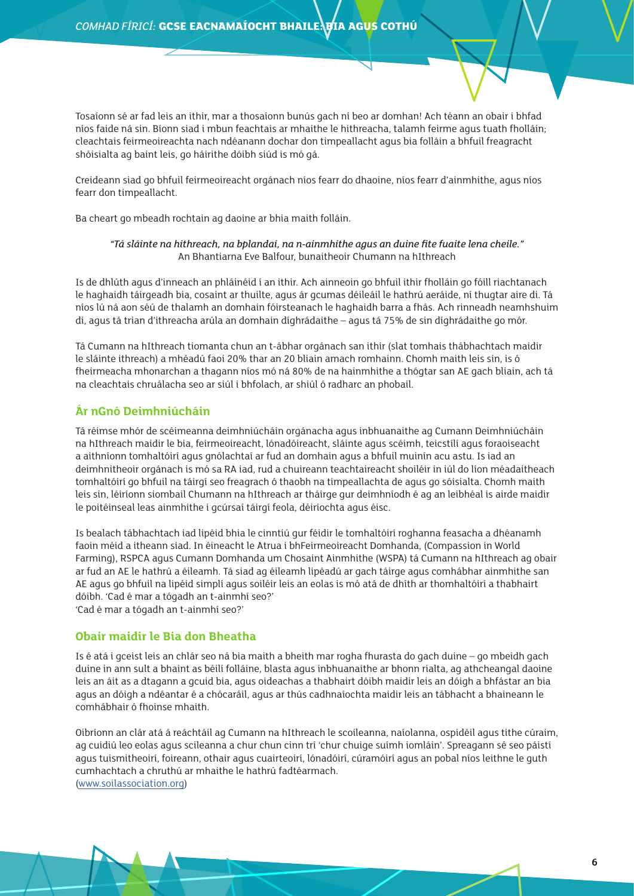Tosaíonn sé ar fad leis an ithir, mar a thosaíonn bunús gach ní beo ar domhan! Ach téann an obair i bhfad níos faide ná sin. Bíonn siad i mbun feachtais ar mhaithe le hithreacha, talamh feirme agus tuath fholláin; cleachtais feirmeoireachta nach ndéanann dochar don timpeallacht agus bia folláin a bhfuil freagracht shóisialta ag baint leis, go háirithe dóibh siúd is mó gá.

Creideann siad go bhfuil feirmeoireacht orgánach níos fearr do dhaoine, níos fearr d'ainmhithe, agus níos fearr don timpeallacht.

Ba cheart go mbeadh rochtain ag daoine ar bhia maith folláin.

#### *"Tá sláinte na hithreach, na bplandaí, na n-ainmhithe agus an duine fite fuaite lena cheile."* An Bhantiarna Eve Balfour, bunaitheoir Chumann na hIthreach

Is de dhlúth agus d'inneach an phláinéid í an ithir. Ach ainneoin go bhfuil ithir fholláin go fóill riachtanach le haghaidh táirgeadh bia, cosaint ar thuilte, agus ár gcumas déileáil le hathrú aeráide, ní thugtar aire di. Tá níos lú ná aon séú de thalamh an domhain fóirsteanach le haghaidh barra a fhás. Ach rinneadh neamhshuim di, agus tá trian d'ithreacha arúla an domhain díghrádaithe – agus tá 75% de sin díghrádaithe go mór.

Tá Cumann na hIthreach tiomanta chun an t-ábhar orgánach san ithir (slat tomhais thábhachtach maidir le sláinte ithreach) a mhéadú faoi 20% thar an 20 bliain amach romhainn. Chomh maith leis sin, is ó fheirmeacha mhonarchan a thagann níos mó ná 80% de na hainmhithe a thógtar san AE gach bliain, ach tá na cleachtais chruálacha seo ar siúl i bhfolach, ar shiúl ó radharc an phobail.

#### **Ár nGnó Deimhniúcháin**

Tá réimse mhór de scéimeanna deimhniúcháin orgánacha agus inbhuanaithe ag Cumann Deimhniúcháin na hIthreach maidir le bia, feirmeoireacht, lónadóireacht, sláinte agus scéimh, teicstílí agus foraoiseacht a aithníonn tomhaltóirí agus gnólachtaí ar fud an domhain agus a bhfuil muinín acu astu. Is iad an deimhnitheoir orgánach is mó sa RA iad, rud a chuireann teachtaireacht shoiléir in iúl do líon méadaitheach tomhaltóirí go bhfuil na táirgí seo freagrach ó thaobh na timpeallachta de agus go sóisialta. Chomh maith leis sin, léiríonn siombail Chumann na hIthreach ar tháirge gur deimhníodh é ag an leibhéal is airde maidir le poitéinseal leas ainmhithe i gcúrsaí táirgí feola, déiríochta agus éisc.

Is bealach tábhachtach iad lipéid bhia le cinntiú gur féidir le tomhaltóirí roghanna feasacha a dhéanamh faoin méid a itheann siad. In éineacht le Atrua i bhFeirmeoireacht Domhanda, (Compassion in World Farming), RSPCA agus Cumann Domhanda um Chosaint Ainmhithe (WSPA) tá Cumann na hIthreach ag obair ar fud an AE le hathrú a éileamh. Tá siad ag éileamh lipéadú ar gach táirge agus comhábhar ainmhithe san AE agus go bhfuil na lipéid simplí agus soiléir leis an eolas is mó atá de dhíth ar thomhaltóirí a thabhairt dóibh. 'Cad é mar a tógadh an t-ainmhí seo?' 'Cad é mar a tógadh an t-ainmhí seo?'

#### **Obair maidir le Bia don Bheatha**

Is é atá i gceist leis an chlár seo ná bia maith a bheith mar rogha fhurasta do gach duine – go mbeidh gach duine in ann sult a bhaint as béilí folláine, blasta agus inbhuanaithe ar bhonn rialta, ag athcheangal daoine leis an áit as a dtagann a gcuid bia, agus oideachas a thabhairt dóibh maidir leis an dóigh a bhfástar an bia agus an dóigh a ndéantar é a chócaráil, agus ar thús cadhnaíochta maidir leis an tábhacht a bhaineann le comhábhair ó fhoinse mhaith.

Oibríonn an clár atá á reáchtáil ag Cumann na hIthreach le scoileanna, naíolanna, ospidéil agus tithe cúraim, ag cuidiú leo eolas agus scileanna a chur chun cinn trí 'chur chuige suímh iomláin'. Spreagann sé seo páistí agus tuismitheoirí, foireann, othair agus cuairteoirí, lónadóirí, cúramóirí agus an pobal níos leithne le guth cumhachtach a chruthú ar mhaithe le hathrú fadtéarmach. ([www.soilassociation.org](http://www.soilassociation.org))